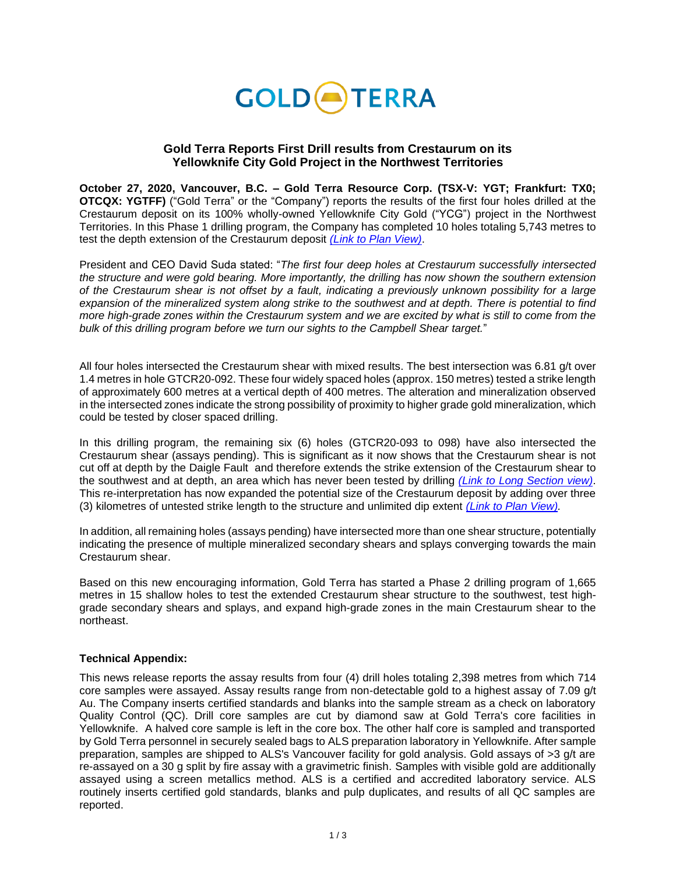

## **Gold Terra Reports First Drill results from Crestaurum on its Yellowknife City Gold Project in the Northwest Territories**

**October 27, 2020, Vancouver, B.C. – Gold Terra Resource Corp. (TSX-V: YGT; Frankfurt: TX0; OTCQX: YGTFF)** ("Gold Terra" or the "Company") reports the results of the first four holes drilled at the Crestaurum deposit on its 100% wholly-owned Yellowknife City Gold ("YCG") project in the Northwest Territories. In this Phase 1 drilling program, the Company has completed 10 holes totaling 5,743 metres to test the depth extension of the Crestaurum deposit *[\(Link to Plan View\)](https://goldterracorp.com/site/assets/files/2997/gtcr20-089-092_mapfig-5.jpg)*.

President and CEO David Suda stated: "*The first four deep holes at Crestaurum successfully intersected the structure and were gold bearing. More importantly, the drilling has now shown the southern extension of the Crestaurum shear is not offset by a fault, indicating a previously unknown possibility for a large expansion of the mineralized system along strike to the southwest and at depth. There is potential to find more high-grade zones within the Crestaurum system and we are excited by what is still to come from the bulk of this drilling program before we turn our sights to the Campbell Shear target.*"

All four holes intersected the Crestaurum shear with mixed results. The best intersection was 6.81 g/t over 1.4 metres in hole GTCR20-092. These four widely spaced holes (approx. 150 metres) tested a strike length of approximately 600 metres at a vertical depth of 400 metres. The alteration and mineralization observed in the intersected zones indicate the strong possibility of proximity to higher grade gold mineralization, which could be tested by closer spaced drilling.

In this drilling program, the remaining six (6) holes (GTCR20-093 to 098) have also intersected the Crestaurum shear (assays pending). This is significant as it now shows that the Crestaurum shear is not cut off at depth by the Daigle Fault and therefore extends the strike extension of the Crestaurum shear to the southwest and at depth, an area which has never been tested by drilling *[\(Link to Long Section](https://goldterracorp.com/site/assets/files/2997/gtcr20-089-092_longsec-4.png) view)*. This re-interpretation has now expanded the potential size of the Crestaurum deposit by adding over three (3) kilometres of untested strike length to the structure and unlimited dip extent *[\(Link to Plan View\).](https://goldterracorp.com/site/assets/files/2997/gtcr20-089-092_mapfig-5.jpg)*

In addition, all remaining holes (assays pending) have intersected more than one shear structure, potentially indicating the presence of multiple mineralized secondary shears and splays converging towards the main Crestaurum shear.

Based on this new encouraging information, Gold Terra has started a Phase 2 drilling program of 1,665 metres in 15 shallow holes to test the extended Crestaurum shear structure to the southwest, test highgrade secondary shears and splays, and expand high-grade zones in the main Crestaurum shear to the northeast.

## **Technical Appendix:**

This news release reports the assay results from four (4) drill holes totaling 2,398 metres from which 714 core samples were assayed. Assay results range from non-detectable gold to a highest assay of 7.09 g/t Au. The Company inserts certified standards and blanks into the sample stream as a check on laboratory Quality Control (QC). Drill core samples are cut by diamond saw at Gold Terra's core facilities in Yellowknife. A halved core sample is left in the core box. The other half core is sampled and transported by Gold Terra personnel in securely sealed bags to ALS preparation laboratory in Yellowknife. After sample preparation, samples are shipped to ALS's Vancouver facility for gold analysis. Gold assays of >3 g/t are re-assayed on a 30 g split by fire assay with a gravimetric finish. Samples with visible gold are additionally assayed using a screen metallics method. ALS is a certified and accredited laboratory service. ALS routinely inserts certified gold standards, blanks and pulp duplicates, and results of all QC samples are reported.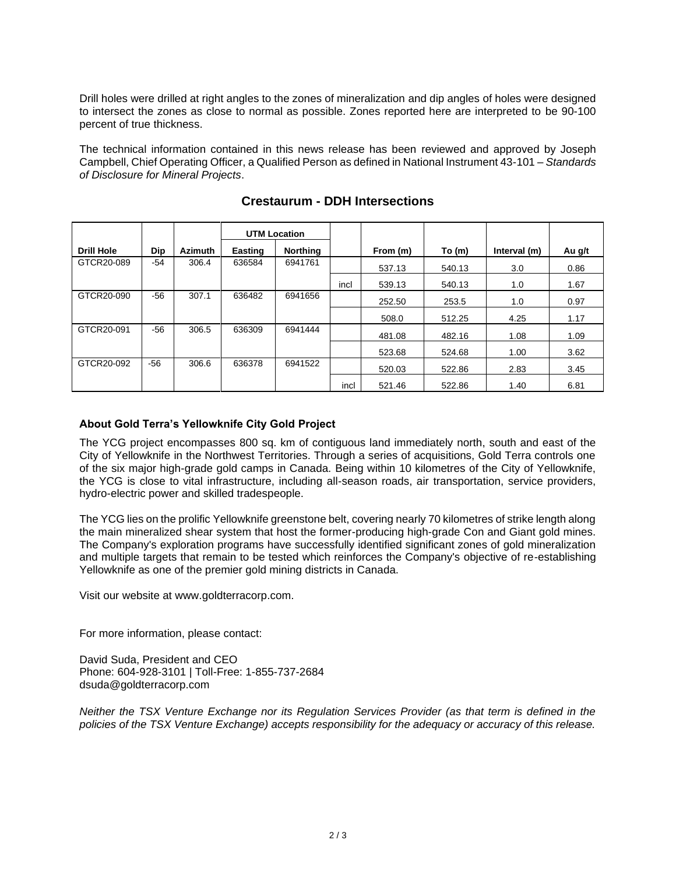Drill holes were drilled at right angles to the zones of mineralization and dip angles of holes were designed to intersect the zones as close to normal as possible. Zones reported here are interpreted to be 90-100 percent of true thickness.

The technical information contained in this news release has been reviewed and approved by Joseph Campbell, Chief Operating Officer, a Qualified Person as defined in National Instrument 43-101 – *Standards of Disclosure for Mineral Projects*.

|                   |       |                | <b>UTM Location</b> |                 |      |          |          |              |        |
|-------------------|-------|----------------|---------------------|-----------------|------|----------|----------|--------------|--------|
| <b>Drill Hole</b> | Dip   | <b>Azimuth</b> | <b>Easting</b>      | <b>Northing</b> |      | From (m) | To $(m)$ | Interval (m) | Au g/t |
| GTCR20-089        | $-54$ | 306.4          | 636584              | 6941761         |      | 537.13   | 540.13   | 3.0          | 0.86   |
|                   |       |                |                     |                 | incl | 539.13   | 540.13   | 1.0          | 1.67   |
| GTCR20-090        | $-56$ | 307.1          | 636482              | 6941656         |      | 252.50   | 253.5    | 1.0          | 0.97   |
|                   |       |                |                     |                 |      | 508.0    | 512.25   | 4.25         | 1.17   |
| GTCR20-091        | $-56$ | 306.5          | 636309              | 6941444         |      | 481.08   | 482.16   | 1.08         | 1.09   |
|                   |       |                |                     |                 |      | 523.68   | 524.68   | 1.00         | 3.62   |
| GTCR20-092        | $-56$ | 306.6          | 636378              | 6941522         |      | 520.03   | 522.86   | 2.83         | 3.45   |
|                   |       |                |                     |                 | incl | 521.46   | 522.86   | 1.40         | 6.81   |

**Crestaurum - DDH Intersections** 

## **About Gold Terra's Yellowknife City Gold Project**

The YCG project encompasses 800 sq. km of contiguous land immediately north, south and east of the City of Yellowknife in the Northwest Territories. Through a series of acquisitions, Gold Terra controls one of the six major high-grade gold camps in Canada. Being within 10 kilometres of the City of Yellowknife, the YCG is close to vital infrastructure, including all-season roads, air transportation, service providers, hydro-electric power and skilled tradespeople.

The YCG lies on the prolific Yellowknife greenstone belt, covering nearly 70 kilometres of strike length along the main mineralized shear system that host the former-producing high-grade Con and Giant gold mines. The Company's exploration programs have successfully identified significant zones of gold mineralization and multiple targets that remain to be tested which reinforces the Company's objective of re-establishing Yellowknife as one of the premier gold mining districts in Canada.

Visit our website at [www.goldterracorp.com.](https://goldterracorp.com/)

For more information, please contact:

David Suda, President and CEO Phone: 604-928-3101 | Toll-Free: 1-855-737-2684 dsuda@goldterracorp.com

*Neither the TSX Venture Exchange nor its Regulation Services Provider (as that term is defined in the policies of the TSX Venture Exchange) accepts responsibility for the adequacy or accuracy of this release.*